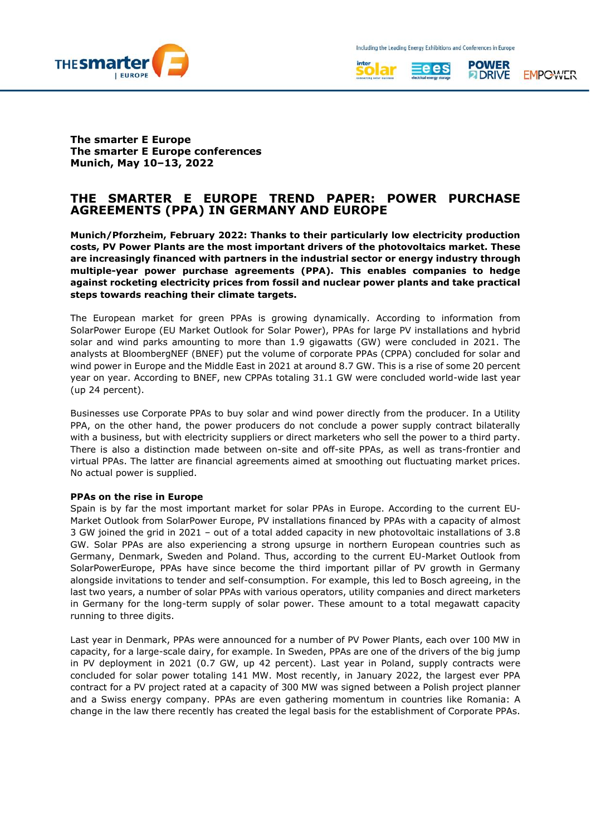





**The smarter E Europe The smarter E Europe conferences Munich, May 10–13, 2022**

# **THE SMARTER E EUROPE TREND PAPER: POWER PURCHASE AGREEMENTS (PPA) IN GERMANY AND EUROPE**

**Munich/Pforzheim, February 2022: Thanks to their particularly low electricity production costs, PV Power Plants are the most important drivers of the photovoltaics market. These are increasingly financed with partners in the industrial sector or energy industry through multiple-year power purchase agreements (PPA). This enables companies to hedge against rocketing electricity prices from fossil and nuclear power plants and take practical steps towards reaching their climate targets.** 

The European market for green PPAs is growing dynamically. According to information from SolarPower Europe (EU Market Outlook for Solar Power), PPAs for large PV installations and hybrid solar and wind parks amounting to more than 1.9 gigawatts (GW) were concluded in 2021. The analysts at BloombergNEF (BNEF) put the volume of corporate PPAs (CPPA) concluded for solar and wind power in Europe and the Middle East in 2021 at around 8.7 GW. This is a rise of some 20 percent year on year. According to BNEF, new CPPAs totaling 31.1 GW were concluded world-wide last year (up 24 percent).

Businesses use Corporate PPAs to buy solar and wind power directly from the producer. In a Utility PPA, on the other hand, the power producers do not conclude a power supply contract bilaterally with a business, but with electricity suppliers or direct marketers who sell the power to a third party. There is also a distinction made between on-site and off-site PPAs, as well as trans-frontier and virtual PPAs. The latter are financial agreements aimed at smoothing out fluctuating market prices. No actual power is supplied.

### **PPAs on the rise in Europe**

Spain is by far the most important market for solar PPAs in Europe. According to the current EU-Market Outlook from SolarPower Europe, PV installations financed by PPAs with a capacity of almost 3 GW joined the grid in 2021 – out of a total added capacity in new photovoltaic installations of 3.8 GW. Solar PPAs are also experiencing a strong upsurge in northern European countries such as Germany, Denmark, Sweden and Poland. Thus, according to the current EU-Market Outlook from SolarPowerEurope, PPAs have since become the third important pillar of PV growth in Germany alongside invitations to tender and self-consumption. For example, this led to Bosch agreeing, in the last two years, a number of solar PPAs with various operators, utility companies and direct marketers in Germany for the long-term supply of solar power. These amount to a total megawatt capacity running to three digits.

Last year in Denmark, PPAs were announced for a number of PV Power Plants, each over 100 MW in capacity, for a large-scale dairy, for example. In Sweden, PPAs are one of the drivers of the big jump in PV deployment in 2021 (0.7 GW, up 42 percent). Last year in Poland, supply contracts were concluded for solar power totaling 141 MW. Most recently, in January 2022, the largest ever PPA contract for a PV project rated at a capacity of 300 MW was signed between a Polish project planner and a Swiss energy company. PPAs are even gathering momentum in countries like Romania: A change in the law there recently has created the legal basis for the establishment of Corporate PPAs.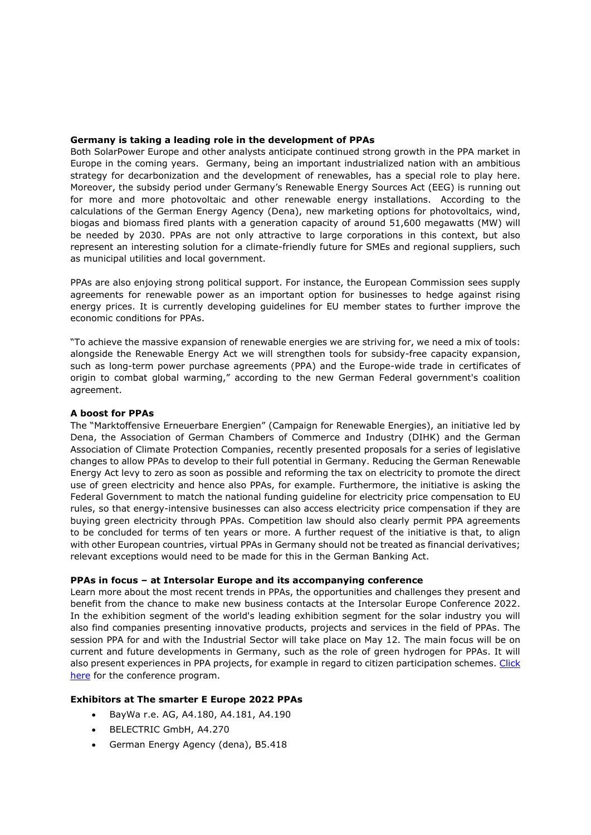# **Germany is taking a leading role in the development of PPAs**

Both SolarPower Europe and other analysts anticipate continued strong growth in the PPA market in Europe in the coming years. Germany, being an important industrialized nation with an ambitious strategy for decarbonization and the development of renewables, has a special role to play here. Moreover, the subsidy period under Germany's Renewable Energy Sources Act (EEG) is running out for more and more photovoltaic and other renewable energy installations. According to the calculations of the German Energy Agency (Dena), new marketing options for photovoltaics, wind, biogas and biomass fired plants with a generation capacity of around 51,600 megawatts (MW) will be needed by 2030. PPAs are not only attractive to large corporations in this context, but also represent an interesting solution for a climate-friendly future for SMEs and regional suppliers, such as municipal utilities and local government.

PPAs are also enjoying strong political support. For instance, the European Commission sees supply agreements for renewable power as an important option for businesses to hedge against rising energy prices. It is currently developing guidelines for EU member states to further improve the economic conditions for PPAs.

"To achieve the massive expansion of renewable energies we are striving for, we need a mix of tools: alongside the Renewable Energy Act we will strengthen tools for subsidy-free capacity expansion, such as long-term power purchase agreements (PPA) and the Europe-wide trade in certificates of origin to combat global warming," according to the new German Federal government's coalition agreement.

### **A boost for PPAs**

The "Marktoffensive Erneuerbare Energien" (Campaign for Renewable Energies), an initiative led by Dena, the Association of German Chambers of Commerce and Industry (DIHK) and the German Association of Climate Protection Companies, recently presented proposals for a series of legislative changes to allow PPAs to develop to their full potential in Germany. Reducing the German Renewable Energy Act levy to zero as soon as possible and reforming the tax on electricity to promote the direct use of green electricity and hence also PPAs, for example. Furthermore, the initiative is asking the Federal Government to match the national funding guideline for electricity price compensation to EU rules, so that energy-intensive businesses can also access electricity price compensation if they are buying green electricity through PPAs. Competition law should also clearly permit PPA agreements to be concluded for terms of ten years or more. A further request of the initiative is that, to align with other European countries, virtual PPAs in Germany should not be treated as financial derivatives; relevant exceptions would need to be made for this in the German Banking Act.

#### **PPAs in focus – at Intersolar Europe and its accompanying conference**

Learn more about the most recent trends in PPAs, the opportunities and challenges they present and benefit from the chance to make new business contacts at the Intersolar Europe Conference 2022. In the exhibition segment of the world's leading exhibition segment for the solar industry you will also find companies presenting innovative products, projects and services in the field of PPAs. The session PPA for and with the Industrial Sector will take place on May 12. The main focus will be on current and future developments in Germany, such as the role of green hydrogen for PPAs. It will also present experiences in PPA projects, for example in regard to citizen participation schemes. Click [here](https://www.thesmartere.de/rahmenprogramm/side-event-gruene-ppa) for the conference program.

## **Exhibitors at The smarter E Europe 2022 PPAs**

- BayWa r.e. AG, A4.180, A4.181, A4.190
- BELECTRIC GmbH, A4.270
- German Energy Agency (dena), B5.418